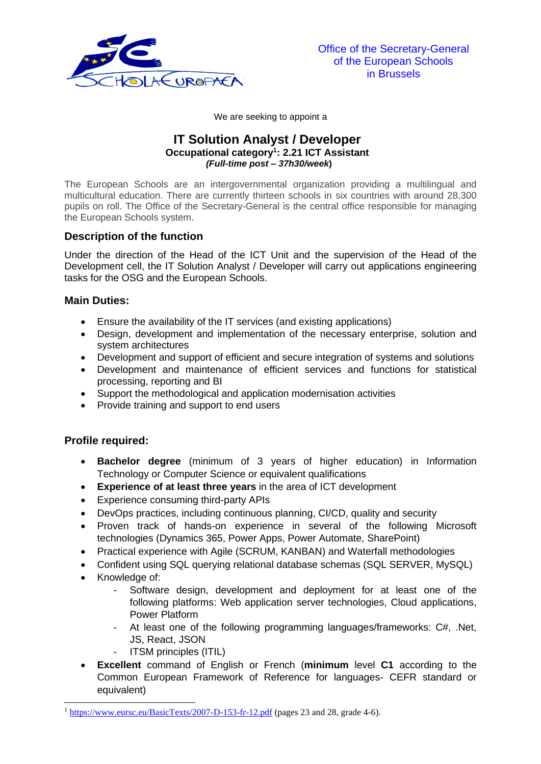

We are seeking to appoint a

## **IT Solution Analyst / Developer Occupational category<sup>1</sup> : 2.21 ICT Assistant** *(Full-time post – 37h30/week***)**

The European Schools are an intergovernmental organization providing a multilingual and multicultural education. There are currently thirteen schools in six countries with around 28,300 pupils on roll. The Office of the Secretary-General is the central office responsible for managing the European Schools system.

# **Description of the function**

Under the direction of the Head of the ICT Unit and the supervision of the Head of the Development cell, the IT Solution Analyst / Developer will carry out applications engineering tasks for the OSG and the European Schools.

### **Main Duties:**

- Ensure the availability of the IT services (and existing applications)
- Design, development and implementation of the necessary enterprise, solution and system architectures
- Development and support of efficient and secure integration of systems and solutions
- Development and maintenance of efficient services and functions for statistical processing, reporting and BI
- Support the methodological and application modernisation activities
- Provide training and support to end users

# **Profile required:**

- **Bachelor degree** (minimum of 3 years of higher education) in Information Technology or Computer Science or equivalent qualifications
- **Experience of at least three years** in the area of ICT development
- Experience consuming third-party APIs
- DevOps practices, including continuous planning, CI/CD, quality and security
- Proven track of hands-on experience in several of the following Microsoft technologies (Dynamics 365, Power Apps, Power Automate, SharePoint)
- Practical experience with Agile (SCRUM, KANBAN) and Waterfall methodologies
- Confident using SQL querying relational database schemas (SQL SERVER, MySQL)
- Knowledge of:
	- Software design, development and deployment for at least one of the following platforms: Web application server technologies, Cloud applications, Power Platform
	- At least one of the following programming languages/frameworks: C#, .Net, JS, React, JSON
	- ITSM principles (ITIL)
- **Excellent** command of English or French (**minimum** level **C1** according to the Common European Framework of Reference for languages- CEFR standard or equivalent)

 $1 \text{ https://www.eursc.eu/BasicTexts/2007-D-153-fr-12.pdf}$  $1 \text{ https://www.eursc.eu/BasicTexts/2007-D-153-fr-12.pdf}$  $1 \text{ https://www.eursc.eu/BasicTexts/2007-D-153-fr-12.pdf}$  (pages 23 and 28, grade 4-6).